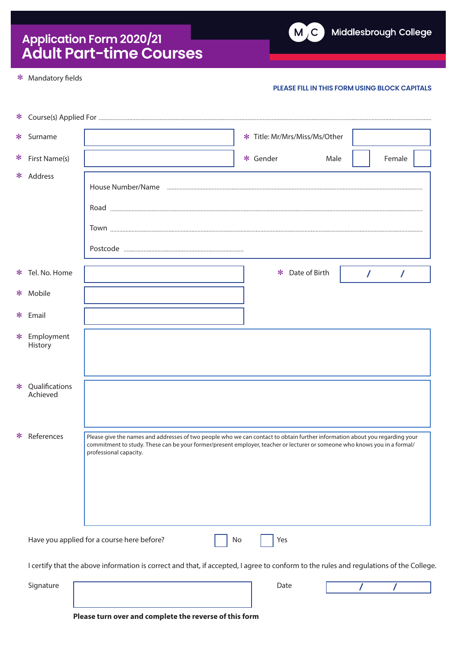# **Application Form 2020/21 Adult Part-time Courses**

#### \* Mandatory fields

### **PLEASE FILL IN THIS FORM USING BLOCK CAPITALS**

| * Surname                                                                                                                             | * Title: Mr/Mrs/Miss/Ms/Other                                                                                                                                                                                                                                                      |  |  |  |  |  |  |  |
|---------------------------------------------------------------------------------------------------------------------------------------|------------------------------------------------------------------------------------------------------------------------------------------------------------------------------------------------------------------------------------------------------------------------------------|--|--|--|--|--|--|--|
| * First Name(s)                                                                                                                       | * Gender<br>Male<br>Female                                                                                                                                                                                                                                                         |  |  |  |  |  |  |  |
| * Address                                                                                                                             |                                                                                                                                                                                                                                                                                    |  |  |  |  |  |  |  |
|                                                                                                                                       |                                                                                                                                                                                                                                                                                    |  |  |  |  |  |  |  |
|                                                                                                                                       |                                                                                                                                                                                                                                                                                    |  |  |  |  |  |  |  |
|                                                                                                                                       |                                                                                                                                                                                                                                                                                    |  |  |  |  |  |  |  |
| * Tel. No. Home                                                                                                                       | Date of Birth<br>$\ast$<br>$\prime$<br>$\prime$                                                                                                                                                                                                                                    |  |  |  |  |  |  |  |
| * Mobile                                                                                                                              |                                                                                                                                                                                                                                                                                    |  |  |  |  |  |  |  |
| * Email                                                                                                                               |                                                                                                                                                                                                                                                                                    |  |  |  |  |  |  |  |
| * Employment<br>History                                                                                                               |                                                                                                                                                                                                                                                                                    |  |  |  |  |  |  |  |
| * Qualifications<br>Achieved                                                                                                          |                                                                                                                                                                                                                                                                                    |  |  |  |  |  |  |  |
| * References                                                                                                                          | Please give the names and addresses of two people who we can contact to obtain further information about you regarding your<br>commitment to study. These can be your former/present employer, teacher or lecturer or someone who knows you in a formal/<br>professional capacity. |  |  |  |  |  |  |  |
|                                                                                                                                       | Have you applied for a course here before?<br>Yes<br>No                                                                                                                                                                                                                            |  |  |  |  |  |  |  |
| I certify that the above information is correct and that, if accepted, I agree to conform to the rules and regulations of the College |                                                                                                                                                                                                                                                                                    |  |  |  |  |  |  |  |
| Signature                                                                                                                             | Date                                                                                                                                                                                                                                                                               |  |  |  |  |  |  |  |

**Please turn over and complete the reverse of this form**